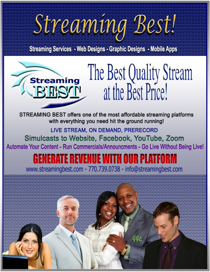# Streaming Best!

**Streaming Services - Web Designs - Graphic Designs - Mobile Apps** 



STREAMING BEST offers one of the most affordable streaming platforms with everything you need hit the ground running!

LIVE STREAM, ON DEMAND, PRERECORD Simulcasts to Website, Facebook, YouTube, Zoom Automate Your Content - Run Commercials/Announcments - Go Live Without Being Live!

# ENERATE REVENUE WITH OUR PLATFORM

www.streamingbest.com - 770.739.0738 - info@streamingbest.com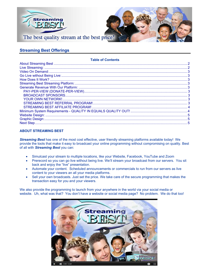

### **Streaming Best Offerings**

#### **Table of Contents**

#### <span id="page-1-0"></span>**ABOUT STREAMING BEST**

*Streaming Best* has one of the most cost effective, user friendly streaming platforms available today! We provide the tools that make it easy to broadcast your online programming without compromising on quality. Best of all with *Streaming Best* you can:

- Simulcast your stream to multiple locations, like your Website, Facebook, YouTube and Zoom
- Prerecord so you can go live without being live. We'll stream your broadcast from our servers. You sit back and enjoy the "live" presentation.
- Automate your content. Scheduled announcements or commercials to run from our servers as live content to your viewers an all your media platforms.
- Sell your own broadcasts. Just set the price. We take care of the secure programming that makes the transaction easy for you and your viewers.

<span id="page-1-1"></span>We also provide the programming to launch from your anywhere in the world via your social media or website. Uh, what was that? You don't have a website or social media page? No problem. We do that too!

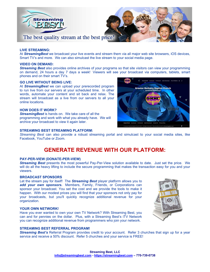

#### **LIVE STREAMING:**

At *StreamingBest* we broadcast your live events and stream them via all major web site browsers, iOS devices, Smart TV's and more. We can also simulcast the live stream to your social media page.

#### <span id="page-2-0"></span>**VIDEO ON DEMAND:**

*Streaming Best* also provides online archives of your programs so that site visitors can view your programming on demand, 24 hours a day 7 days a week! Viewers will see your broadcast via computers, tablets, smart phones and on their smart TV's.

#### <span id="page-2-1"></span>**GO LIVE WITHOUT BEING LIVE:**

At *StreamingBest* we can upload your prerecorded program to run live from our servers at your scheduled time. In other words, automate your content and sit back and relax. The stream will broadcast as a live from our servers to all your online locations.

#### <span id="page-2-2"></span>**HOW DOES IT WORK?**

*StreamingBest* is hands on. We take care of all the programming and work with what you already have. We will archive your broadcast to view it again later.

#### <span id="page-2-3"></span>**STREAMING BEST STREAMING PLATFORM:**

*Streaming Best* can also provide a robust streaming portal and simulcast to your social media sites, like Facebook, YouTube or Zoom.

## **GENERATE REVENUE WITH OUR PLATFORM:**

#### <span id="page-2-5"></span><span id="page-2-4"></span>**PAY-PER-VIEW (DONATE-PER-VIEW)**

*Streaming Best* presents the most powerful Pay-Per-View solution available to date. Just set the price. We will do all the heavy lifting to include the secure programming that makes the transaction easy for you and your viewers.

#### <span id="page-2-6"></span>**BROADCAST SPONSORS**

Let the stream pay for itself! The *Streaming Best* player platform allows you to add your own sponsors. Members, Family, Friends, or Corporations can sponsor your broadcast. You set the cost and we provide the tools to make it happen. With our modest prices you will find that your sponsors not only pay for your broadcasts, but you'll quickly recognize additional revenue for your organization.

#### <span id="page-2-7"></span>**YOUR OWN NETWORK!**

Have you ever wanted to own your own TV Network? With Streaming Best, you can and for pennies on the dollar. Plus, with a Streaming Best's iTV Network you can recognize additional revenue from programmers who join your network.



#### <span id="page-2-8"></span>**STREAMING BEST REFERRAL PROGRAM!**

<span id="page-2-9"></span>*Streaming Best's* Referral Program provides credit to your account. Refer 3 churches that sign up for a year service and receive a 50% discount. Refer 5 churches and your service is FREE!

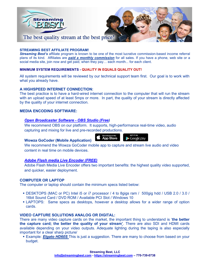

#### **STREAMING BEST AFFILIATE PROGRAM!**

*Streaming Best's* affiliate program is known to be one of the most lucrative commission-based income referral plans of its kind. Affiliates are *paid a monthly commission* for all sales. If you have a phone, web site or a social media site, join now and get paid, when they pay… each month... for each client.

#### <span id="page-3-0"></span>**MINIMUM SYSTEM REQUIREMENTS - QUALITY IN EQUALS QUALITY OUT!**

All system requirements will be reviewed by our technical support team first. Our goal is to work with what you already have.

#### **A HIGHSPEED INTERNET CONNECTION:**

The best practice is to have a hard-wired internet connection to the computer that will run the stream with an upload speed of at least 5mps or more. In part, the quality of your stream is directly affected by the quality of your internet connection.

#### **MEDIA ENCODING SOFTWARE:**

#### *[Open Broadcaster Software -](https://obsproject.com/download) OBS Studio (Free)*

We recommend OBS on our platform. It supports, high-performance real-time video, audio capturing and mixing for live and pre-recorded productions.

#### **Wowza GoCoder (Mobile Application)**

Download on the<br>**App Store** 

 $\blacktriangleright$  Google play

We recommend the Wowza GoCoder mobile app to capture and stream live audio and video content in real time on mobile devices.

#### *[Adobe Flash media Live Encoder \(FREE\)](https://helpx.adobe.com/support/programs/eol-matrix.html#fmle?sdid=FCOSC)*

Adobe Flash Media Live Encoder offers two important benefits: the highest quality video supported, and quicker, easier deployment.

#### **COMPUTER OR LAPTOP**

The computer or laptop should contain the minimum specs listed below:

- DESKTOPS (MAC or PC) Intel i5 or i7 processor / 4 to 8gigs ram / 500gig hdd / USB 2.0 / 3.0 / 16bit Sound Card / DVD ROM / Available PCI Slot / Windows 10
- LAPTOPS: Same specs as desktops, however a desktop allows for a wider range of option cards.

#### **VIDEO CAPTURE SOLUTIONS ANALOG OR DIGITAL:**

There are many video capture cards on the market, the important thing to understand is '**the better the capture card; the better the quality of your stream'**. There are also SDI and HDMI cards available depending on your video outputs. Adequate lighting during the taping is also especially important for a clear sharp picture/

**Example:** *[Elgato HD60S](https://www.amazon.com/Elgato-Game-Capture-HD60-PlayStation/dp/B01DRWCOGA/ref=sr_1_2?crid=R7ZECGJ92KTD&dchild=1&keywords=elgato+hd60s&qid=1588023600&sprefix=elgato%2Caps%2C158&sr=8-2)* This is just a suggestion. There are many to choose from based on your budget.